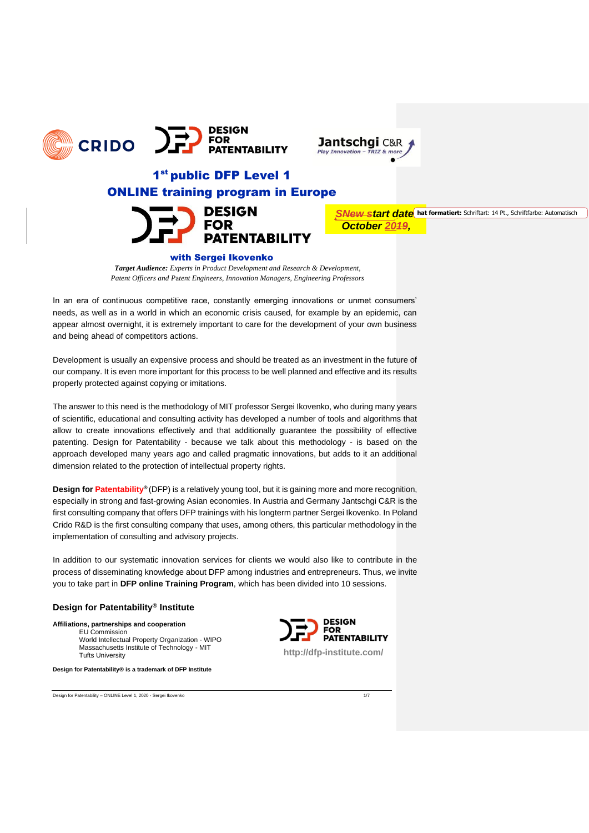





# 1<sup>st</sup> public DFP Level 1 ONLINE training program in Europe



**SNew start date** hat formatiert: Schriftart: 14 Pt., Schriftfarbe: Automatisch *October 2019,*

#### with Sergei Ikovenko

*Target Audience: Experts in Product Development and Research & Development, Patent Officers and P*a*tent Engineers, Innovation Managers, Engineering Professors*

In an era of continuous competitive race, constantly emerging innovations or unmet consumers' needs, as well as in a world in which an economic crisis caused, for example by an epidemic, can appear almost overnight, it is extremely important to care for the development of your own business and being ahead of competitors actions.

Development is usually an expensive process and should be treated as an investment in the future of our company. It is even more important for this process to be well planned and effective and its results properly protected against copying or imitations.

The answer to this need is the methodology of MIT professor Sergei Ikovenko, who during many years of scientific, educational and consulting activity has developed a number of tools and algorithms that allow to create innovations effectively and that additionally guarantee the possibility of effective patenting. Design for Patentability - because we talk about this methodology - is based on the approach developed many years ago and called pragmatic innovations, but adds to it an additional dimension related to the protection of intellectual property rights.

**Design for Patentability®** (DFP) is a relatively young tool, but it is gaining more and more recognition, especially in strong and fast-growing Asian economies. In Austria and Germany Jantschgi C&R is the first consulting company that offers DFP trainings with his longterm partner Sergei Ikovenko. In Poland Crido R&D is the first consulting company that uses, among others, this particular methodology in the implementation of consulting and advisory projects.

In addition to our systematic innovation services for clients we would also like to contribute in the process of disseminating knowledge about DFP among industries and entrepreneurs. Thus, we invite you to take part in **DFP online Training Program**, which has been divided into 10 sessions.

# **Design for Patentability® Institute**

**Affiliations, partnerships and cooperation** EU Commission World Intellectual Property Organization - WIPO Massachusetts Institute of Technology - MIT Tufts University

**Design for Patentability® is a trademark of DFP Institute**



Design for Patentability – ONLINE Level 1, 2020 - Sergei Ikovenko 1/7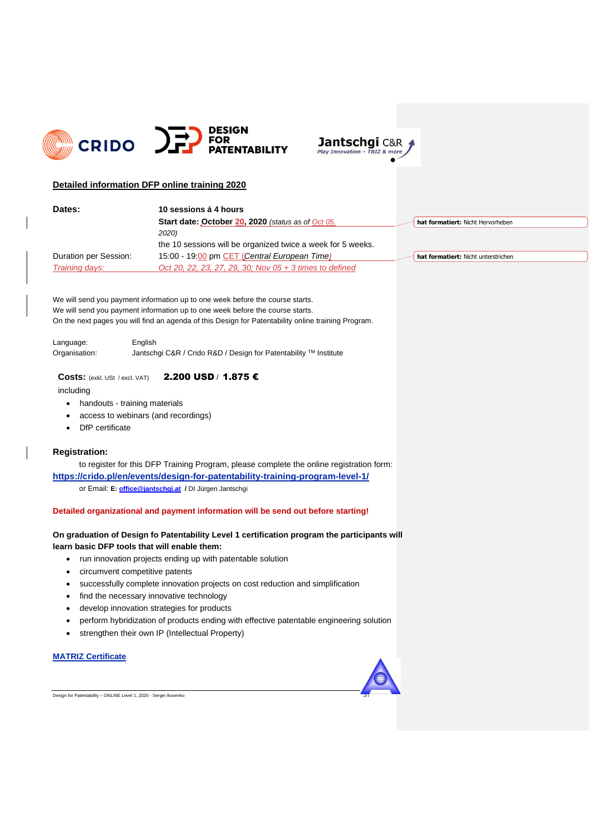



# **Detailed information DFP online training 2020**

| Dates:                | 10 sessions á 4 hours                                       |                                     |
|-----------------------|-------------------------------------------------------------|-------------------------------------|
|                       | Start date: October 20, 2020 (status as of Oct 05,          | hat formatiert: Nicht Hervorheben   |
|                       | 2020)                                                       |                                     |
|                       | the 10 sessions will be organized twice a week for 5 weeks. |                                     |
| Duration per Session: | 15:00 - 19:00 pm CET (Central European Time)                | hat formatiert: Nicht unterstrichen |
| Training days:        | Oct 20, 22, 23, 27, 29, 30; Nov 05 + 3 times to defined     |                                     |

We will send you payment information up to one week before the course starts. We will send you payment information up to one week before the course starts. On the next pages you will find an agenda of this Design for Patentability online training Program.

Language: English Organisation: Jantschgi C&R / Crido R&D / Design for Patentability TM Institute

# **Costs:** (exkl. USt / excl. VAT) 2.200 USD / 1.875 €

including

# • handouts - training materials

- access to webinars (and recordings)
- DfP certificate

# **Registration:**

to register for this DFP Training Program, please complete the online registration form: **<https://crido.pl/en/events/design-for-patentability-training-program-level-1/>** or Email: **E: [office@jantschgi.at](mailto:office@jantschgi.at) /** DI Jürgen Jantschgi

#### **Detailed organizational and payment information will be send out before starting!**

# **On graduation of Design fo Patentability Level 1 certification program the participants will learn basic DFP tools that will enable them:**

- run innovation projects ending up with patentable solution
- circumvent competitive patents
- successfully complete innovation projects on cost reduction and simplification
- find the necessary innovative technology
- develop innovation strategies for products
- perform hybridization of products ending with effective patentable engineering solution
- strengthen their own IP (Intellectual Property)

# **MATRIZ Certificate**



Design for Patentability – ONLINE Level 1, 2020 - Sergei Ikovenko 2/7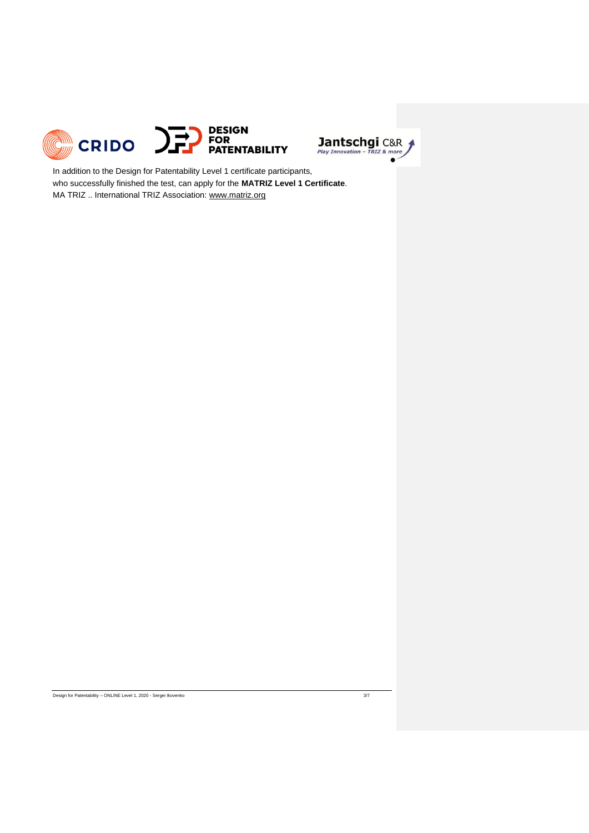



In addition to the Design for Patentability Level 1 certificate participants, who successfully finished the test, can apply for the **MATRIZ Level 1 Certificate**. MA TRIZ .. International TRIZ Association[: www.matriz.org](http://www.matriz.org/)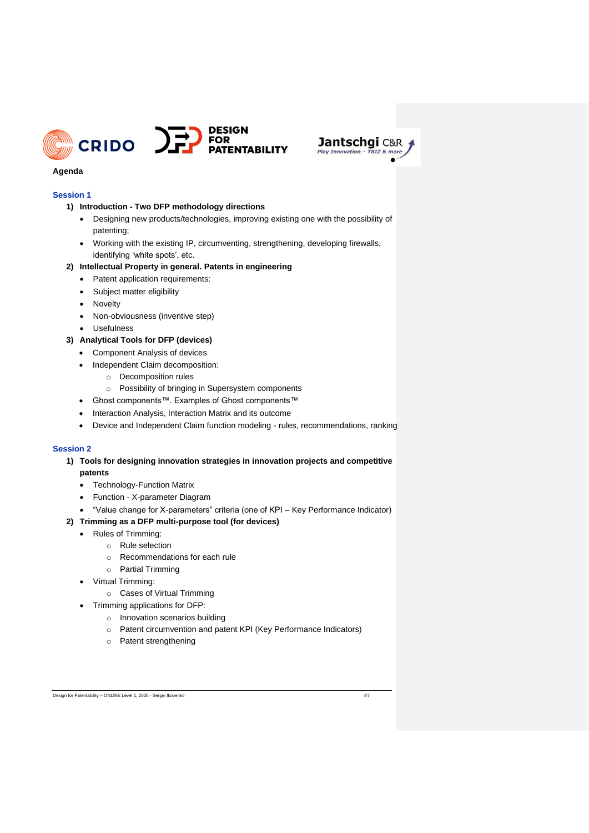



# **Agenda**

# **Session 1**

- **1) Introduction - Two DFP methodology directions**
	- Designing new products/technologies, improving existing one with the possibility of patenting;
	- Working with the existing IP, circumventing, strengthening, developing firewalls, identifying 'white spots', etc.

# **2) Intellectual Property in general. Patents in engineering**

- Patent application requirements:
- Subject matter eligibility
- **Novelty**
- Non-obviousness (inventive step)
- Usefulness

# **3) Analytical Tools for DFP (devices)**

- Component Analysis of devices
- Independent Claim decomposition:
	- o Decomposition rules
	- o Possibility of bringing in Supersystem components
- Ghost components™. Examples of Ghost components™
- Interaction Analysis, Interaction Matrix and its outcome
- Device and Independent Claim function modeling rules, recommendations, ranking

#### **Session 2**

# **1) Tools for designing innovation strategies in innovation projects and competitive patents**

- Technology-Function Matrix
- Function X-parameter Diagram
- "Value change for X-parameters" criteria (one of KPI Key Performance Indicator)

# **2) Trimming as a DFP multi-purpose tool (for devices)**

- Rules of Trimming:
	- o Rule selection
	- o Recommendations for each rule
	- o Partial Trimming
- Virtual Trimming:
	- o Cases of Virtual Trimming
- Trimming applications for DFP:
	- o Innovation scenarios building
	- o Patent circumvention and patent KPI (Key Performance Indicators)
	- o Patent strengthening

Design for Patentability – ONLINE Level 1, 2020 - Sergei Ikovenko 4/7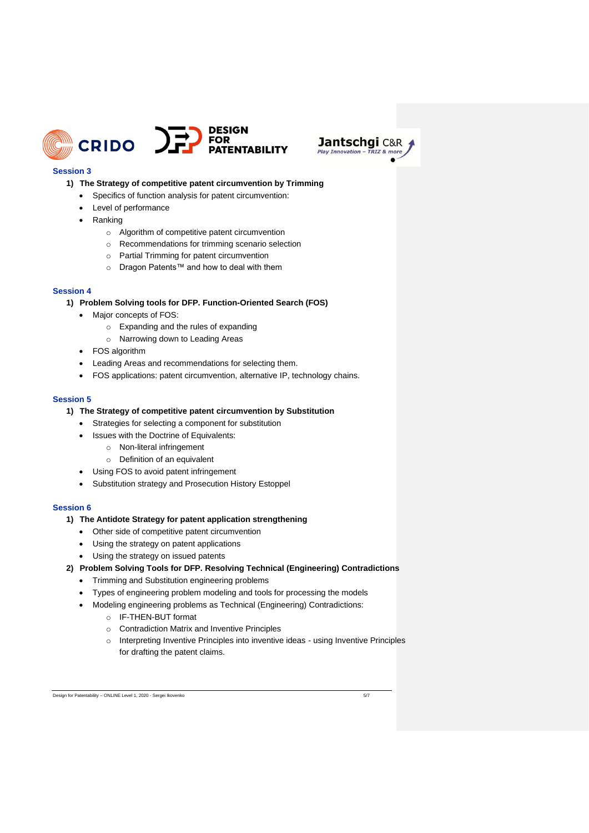



# **Session 3**

# **1) The Strategy of competitive patent circumvention by Trimming**

- Specifics of function analysis for patent circumvention:
- Level of performance
- Ranking
	- o Algorithm of competitive patent circumvention
	- o Recommendations for trimming scenario selection
	- o Partial Trimming for patent circumvention
	- o Dragon Patents™ and how to deal with them

#### **Session 4**

- **1) Problem Solving tools for DFP. Function-Oriented Search (FOS)**
	- Major concepts of FOS:
		- o Expanding and the rules of expanding
		- o Narrowing down to Leading Areas
	- FOS algorithm
	- Leading Areas and recommendations for selecting them.
	- FOS applications: patent circumvention, alternative IP, technology chains.

#### **Session 5**

- **1) The Strategy of competitive patent circumvention by Substitution**
	- Strategies for selecting a component for substitution
	- Issues with the Doctrine of Equivalents:
		- o Non-literal infringement
			- o Definition of an equivalent
	- Using FOS to avoid patent infringement
	- Substitution strategy and Prosecution History Estoppel

#### **Session 6**

# **1) The Antidote Strategy for patent application strengthening**

- Other side of competitive patent circumvention
- Using the strategy on patent applications
- Using the strategy on issued patents
- **2) Problem Solving Tools for DFP. Resolving Technical (Engineering) Contradictions**
	- Trimming and Substitution engineering problems
	- Types of engineering problem modeling and tools for processing the models
	- Modeling engineering problems as Technical (Engineering) Contradictions:
		- o IF-THEN-BUT format
			- o Contradiction Matrix and Inventive Principles
			- o Interpreting Inventive Principles into inventive ideas using Inventive Principles for drafting the patent claims.

Design for Patentability – ONLINE Level 1, 2020 - Sergei Ikovenko 5/7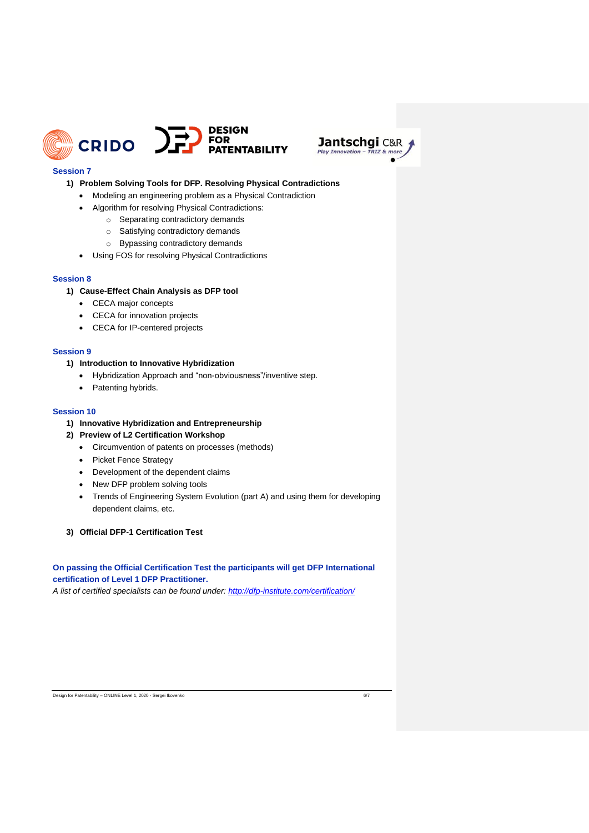



# **Session 7**

### **1) Problem Solving Tools for DFP. Resolving Physical Contradictions**

- Modeling an engineering problem as a Physical Contradiction
- Algorithm for resolving Physical Contradictions:
	- o Separating contradictory demands
		- o Satisfying contradictory demands
	- o Bypassing contradictory demands
- Using FOS for resolving Physical Contradictions

# **Session 8**

#### **1) Cause-Effect Chain Analysis as DFP tool**

- CECA major concepts
- CECA for innovation projects
- CECA for IP-centered projects

### **Session 9**

# **1) Introduction to Innovative Hybridization**

- Hybridization Approach and "non-obviousness"/inventive step.
- Patenting hybrids.

#### **Session 10**

- **1) Innovative Hybridization and Entrepreneurship**
- **2) Preview of L2 Certification Workshop**
	- Circumvention of patents on processes (methods)
	- Picket Fence Strategy
	- Development of the dependent claims
	- New DFP problem solving tools
	- Trends of Engineering System Evolution (part A) and using them for developing dependent claims, etc.
- **3) Official DFP-1 Certification Test**

# **On passing the Official Certification Test the participants will get DFP International certification of Level 1 DFP Practitioner.**

*A list of certified specialists can be found under:<http://dfp-institute.com/certification/>*